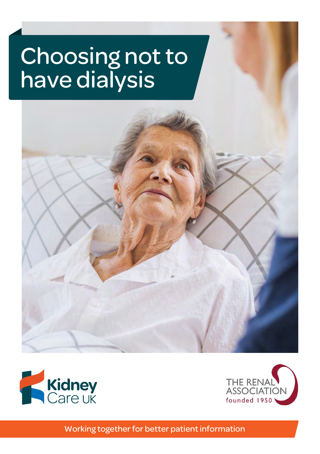# Choosing not to have dialysis





Working together for better patient information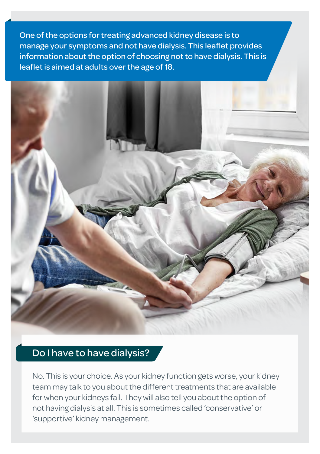One of the options for treating advanced kidney disease is to manage your symptoms and not have dialysis. This leaflet provides information about the option of choosing not to have dialysis. This is leaflet is aimed at adults over the age of 18.



#### Do I have to have dialysis?

No. This is your choice. As your kidney function gets worse, your kidney team may talk to you about the different treatments that are available for when your kidneys fail. They will also tell you about the option of not having dialysis at all. This is sometimes called 'conservative' or 'supportive' kidney management.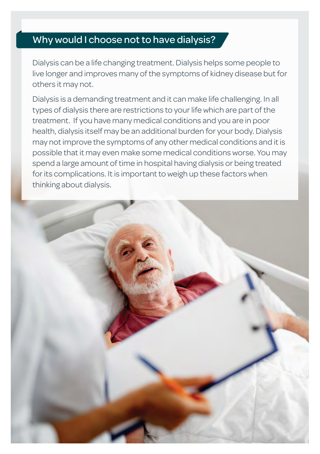## Why would I choose not to have dialysis?

Dialysis can be a life changing treatment. Dialysis helps some people to live longer and improves many of the symptoms of kidney disease but for others it may not.

Dialysis is a demanding treatment and it can make life challenging. In all types of dialysis there are restrictions to your life which are part of the treatment. If you have many medical conditions and you are in poor health, dialysis itself may be an additional burden for your body. Dialysis may not improve the symptoms of any other medical conditions and it is possible that it may even make some medical conditions worse. You may spend a large amount of time in hospital having dialysis or being treated for its complications. It is important to weigh up these factors when thinking about dialysis.

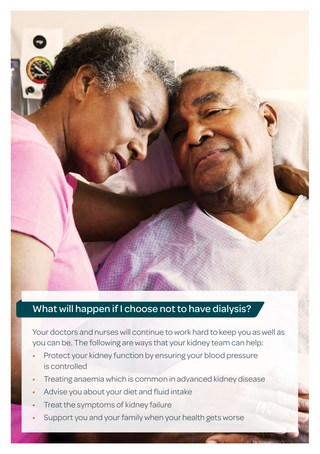

#### What will happen if I choose not to have dialysis?

Your doctors and nurses will continue to work hard to keep you as well as you can be. The following are ways that your kidney team can help:

- Protect your kidney function by ensuring your blood pressure is controlled
- Treating anaemia which is common in advanced kidney disease
- Advise you about your diet and fluid intake
- Treat the symptoms of kidney failure
- Support you and your family when your health gets worse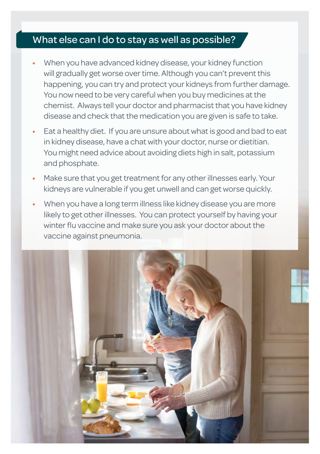## What else can I do to stay as well as possible?

- When you have advanced kidney disease, your kidney function will gradually get worse over time. Although you can't prevent this happening, you can try and protect your kidneys from further damage. You now need to be very careful when you buy medicines at the chemist. Always tell your doctor and pharmacist that you have kidney disease and check that the medication you are given is safe to take.
- Eat a healthy diet. If you are unsure about what is good and bad to eat in kidney disease, have a chat with your doctor, nurse or dietitian. You might need advice about avoiding diets high in salt, potassium and phosphate.
- Make sure that you get treatment for any other illnesses early. Your kidneys are vulnerable if you get unwell and can get worse quickly.
- When you have a long term illness like kidney disease you are more likely to get other illnesses. You can protect yourself by having your winter flu vaccine and make sure you ask your doctor about the vaccine against pneumonia.

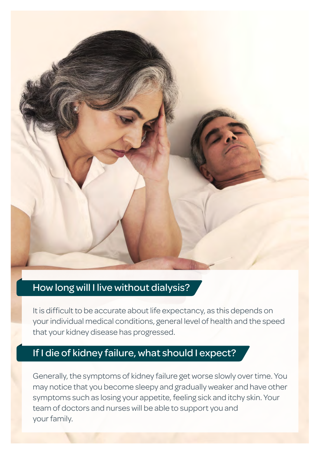

#### How long will I live without dialysis?

It is difficult to be accurate about life expectancy, as this depends on your individual medical conditions, general level of health and the speed that your kidney disease has progressed.

#### If I die of kidney failure, what should I expect?

Generally, the symptoms of kidney failure get worse slowly over time. You may notice that you become sleepy and gradually weaker and have other symptoms such as losing your appetite, feeling sick and itchy skin. Your team of doctors and nurses will be able to support you and your family.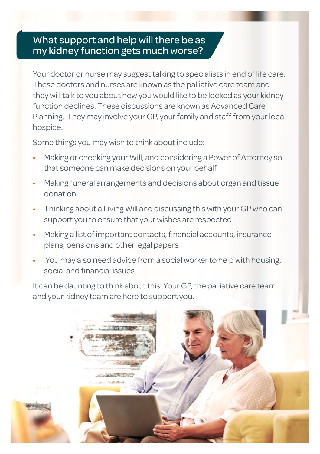#### What support and help will there be as my kidney function gets much worse?

Your doctor or nurse may suggest talking to specialists in end of life care. These doctors and nurses are known as the palliative care team and they will talk to you about how you would like to be looked as your kidney function declines. These discussions are known as Advanced Care Planning. They may involve your GP, your family and staff from your local hospice.

Some things you may wish to think about include:

- Making or checking your Will, and considering a Power of Attorney so that someone can make decisions on your behalf
- Making funeral arrangements and decisions about organ and tissue donation
- Thinking about a Living Will and discussing this with your GP who can support you to ensure that your wishes are respected
- Making a list of important contacts, financial accounts, insurance plans, pensions and other legal papers
- You may also need advice from a social worker to help with housing, social and financial issues

It can be daunting to think about this. Your GP, the palliative care team and your kidney team are here to support you.